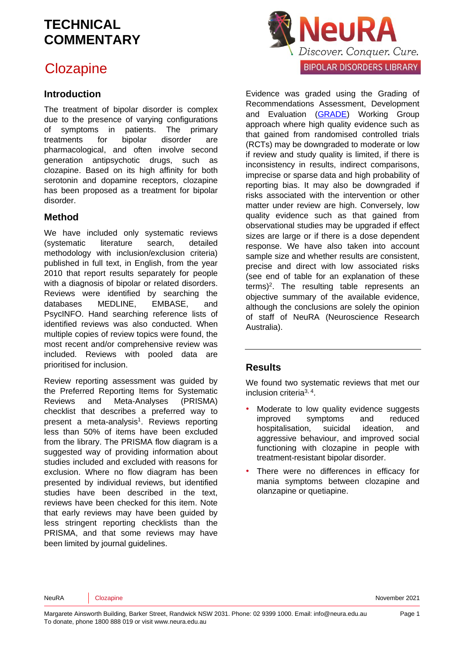## **Clozapine**

### **Introduction**

The treatment of bipolar disorder is complex due to the presence of varying configurations of symptoms in patients. The primary treatments for bipolar disorder are pharmacological, and often involve second generation antipsychotic drugs, such as clozapine. Based on its high affinity for both serotonin and [dopamine](https://en.wikipedia.org/wiki/5-HT2A) receptors, clozapine has been proposed as a treatment for bipolar disorder.

### **Method**

We have included only systematic reviews (systematic literature search, detailed methodology with inclusion/exclusion criteria) published in full text, in English, from the year 2010 that report results separately for people with a diagnosis of bipolar or related disorders. Reviews were identified by searching the databases MEDLINE, EMBASE, and PsycINFO. Hand searching reference lists of identified reviews was also conducted. When multiple copies of review topics were found, the most recent and/or comprehensive review was included. Reviews with pooled data are prioritised for inclusion.

Review reporting assessment was guided by the Preferred Reporting Items for Systematic Reviews and Meta-Analyses (PRISMA) checklist that describes a preferred way to present a meta-analysis<sup>[1](#page-5-0)</sup>. Reviews reporting less than 50% of items have been excluded from the library. The PRISMA flow diagram is a suggested way of providing information about studies included and excluded with reasons for exclusion. Where no flow diagram has been presented by individual reviews, but identified studies have been described in the text, reviews have been checked for this item. Note that early reviews may have been guided by less stringent reporting checklists than the PRISMA, and that some reviews may have been limited by journal guidelines.



Evidence was graded using the Grading of Recommendations Assessment, Development and Evaluation [\(GRADE\)](http://www.gradeworkinggroup.org/) Working Group approach where high quality evidence such as that gained from randomised controlled trials (RCTs) may be downgraded to moderate or low if review and study quality is limited, if there is inconsistency in results, indirect comparisons, imprecise or sparse data and high probability of reporting bias. It may also be downgraded if risks associated with the intervention or other matter under review are high. Conversely, low quality evidence such as that gained from observational studies may be upgraded if effect sizes are large or if there is a dose dependent response. We have also taken into account sample size and whether results are consistent, precise and direct with low associated risks (see end of table for an explanation of these terms)<sup>[2](#page-5-1)</sup>. The resulting table represents an objective summary of the available evidence, although the conclusions are solely the opinion of staff of NeuRA (Neuroscience Research Australia).

### **Results**

We found two systematic reviews that met our inclusion criteria<sup>[3,](#page-5-2) [4](#page-5-3)</sup>.

- Moderate to low quality evidence suggests improved symptoms and reduced hospitalisation, suicidal ideation, and aggressive behaviour, and improved social functioning with clozapine in people with treatment-resistant bipolar disorder.
- There were no differences in efficacy for mania symptoms between clozapine and olanzapine or quetiapine.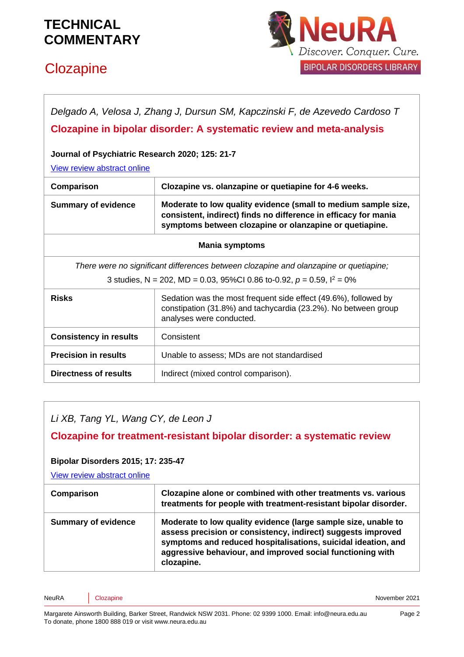# **Clozapine**



*Delgado A, Velosa J, Zhang J, Dursun SM, Kapczinski F, de Azevedo Cardoso T*

### **Clozapine in bipolar disorder: A systematic review and meta-analysis**

#### **Journal of Psychiatric Research 2020; 125: 21-7**

[View review abstract online](https://pubmed.ncbi.nlm.nih.gov/32182485/)

| Comparison                                                                            | Clozapine vs. olanzapine or quetiapine for 4-6 weeks.                                                                                                                                        |
|---------------------------------------------------------------------------------------|----------------------------------------------------------------------------------------------------------------------------------------------------------------------------------------------|
| <b>Summary of evidence</b>                                                            | Moderate to low quality evidence (small to medium sample size,<br>consistent, indirect) finds no difference in efficacy for mania<br>symptoms between clozapine or olanzapine or quetiapine. |
| <b>Mania symptoms</b>                                                                 |                                                                                                                                                                                              |
| There were no significant differences between clozapine and olanzapine or quetiapine; |                                                                                                                                                                                              |
| 3 studies, N = 202, MD = 0.03, 95%CI 0.86 to-0.92, $p = 0.59$ , $l^2 = 0\%$           |                                                                                                                                                                                              |
|                                                                                       |                                                                                                                                                                                              |

| <b>Risks</b>                  | Sedation was the most frequent side effect (49.6%), followed by<br>constipation (31.8%) and tachycardia (23.2%). No between group<br>analyses were conducted. |
|-------------------------------|---------------------------------------------------------------------------------------------------------------------------------------------------------------|
| <b>Consistency in results</b> | Consistent                                                                                                                                                    |
| <b>Precision in results</b>   | Unable to assess; MDs are not standardised                                                                                                                    |
| Directness of results         | Indirect (mixed control comparison).                                                                                                                          |

*Li XB, Tang YL, Wang CY, de Leon J* 

**Clozapine for treatment-resistant bipolar disorder: a systematic review** 

#### **Bipolar Disorders 2015; 17: 235-47**

[View review abstract online](https://www.ncbi.nlm.nih.gov/pubmed/25346322)

| Comparison                 | Clozapine alone or combined with other treatments vs. various<br>treatments for people with treatment-resistant bipolar disorder.                                                                                                                                           |
|----------------------------|-----------------------------------------------------------------------------------------------------------------------------------------------------------------------------------------------------------------------------------------------------------------------------|
| <b>Summary of evidence</b> | Moderate to low quality evidence (large sample size, unable to<br>assess precision or consistency, indirect) suggests improved<br>symptoms and reduced hospitalisations, suicidal ideation, and<br>aggressive behaviour, and improved social functioning with<br>clozapine. |

NeuRA Clozapine **Community** Close Community Community Community Community Community Community Community Community Community Community Community Community Community Community Community Community Community Community Communit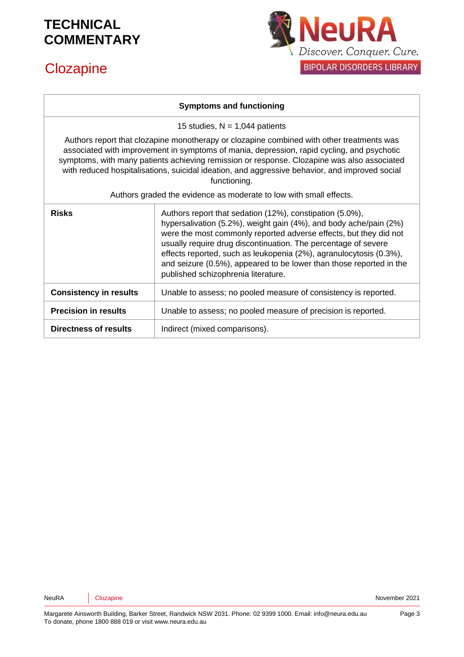# **Clozapine**



#### **Symptoms and functioning**

15 studies,  $N = 1,044$  patients

Authors report that clozapine monotherapy or clozapine combined with other treatments was associated with improvement in symptoms of mania, depression, rapid cycling, and psychotic symptoms, with many patients achieving remission or response. Clozapine was also associated with reduced hospitalisations, suicidal ideation, and aggressive behavior, and improved social functioning.

Authors graded the evidence as moderate to low with small effects.

| <b>Risks</b>                  | Authors report that sedation (12%), constipation (5.0%),<br>hypersalivation (5.2%), weight gain (4%), and body ache/pain (2%)<br>were the most commonly reported adverse effects, but they did not<br>usually require drug discontinuation. The percentage of severe<br>effects reported, such as leukopenia (2%), agranulocytosis (0.3%),<br>and seizure (0.5%), appeared to be lower than those reported in the<br>published schizophrenia literature. |
|-------------------------------|----------------------------------------------------------------------------------------------------------------------------------------------------------------------------------------------------------------------------------------------------------------------------------------------------------------------------------------------------------------------------------------------------------------------------------------------------------|
| <b>Consistency in results</b> | Unable to assess; no pooled measure of consistency is reported.                                                                                                                                                                                                                                                                                                                                                                                          |
| <b>Precision in results</b>   | Unable to assess; no pooled measure of precision is reported.                                                                                                                                                                                                                                                                                                                                                                                            |
| <b>Directness of results</b>  | Indirect (mixed comparisons).                                                                                                                                                                                                                                                                                                                                                                                                                            |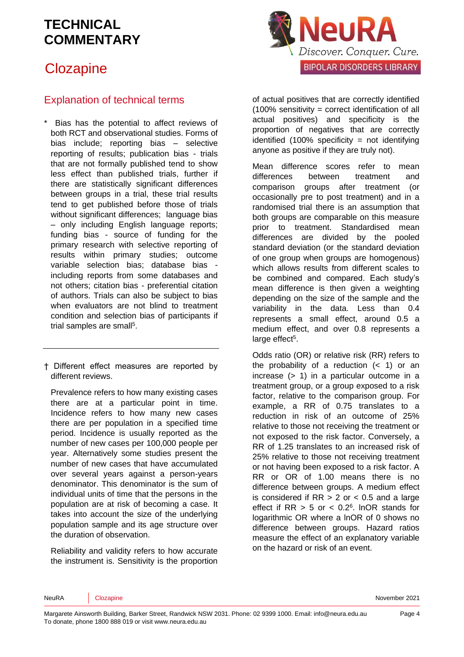## **Clozapine**



### Explanation of technical terms

Bias has the potential to affect reviews of both RCT and observational studies. Forms of bias include; reporting bias – selective reporting of results; publication bias - trials that are not formally published tend to show less effect than published trials, further if there are statistically significant differences between groups in a trial, these trial results tend to get published before those of trials without significant differences: language bias – only including English language reports; funding bias - source of funding for the primary research with selective reporting of results within primary studies; outcome variable selection bias; database bias including reports from some databases and not others; citation bias - preferential citation of authors. Trials can also be subject to bias when evaluators are not blind to treatment condition and selection bias of participants if trial samples are sma[ll](#page-5-4)<sup>5</sup>.

† Different effect measures are reported by different reviews.

Prevalence refers to how many existing cases there are at a particular point in time. Incidence refers to how many new cases there are per population in a specified time period. Incidence is usually reported as the number of new cases per 100,000 people per year. Alternatively some studies present the number of new cases that have accumulated over several years against a person-years denominator. This denominator is the sum of individual units of time that the persons in the population are at risk of becoming a case. It takes into account the size of the underlying population sample and its age structure over the duration of observation.

Reliability and validity refers to how accurate the instrument is. Sensitivity is the proportion of actual positives that are correctly identified (100% sensitivity = correct identification of all actual positives) and specificity is the proportion of negatives that are correctly identified  $(100\%$  specificity = not identifying anyone as positive if they are truly not).

Mean difference scores refer to mean differences between treatment and comparison groups after treatment (or occasionally pre to post treatment) and in a randomised trial there is an assumption that both groups are comparable on this measure prior to treatment. Standardised mean differences are divided by the pooled standard deviation (or the standard deviation of one group when groups are homogenous) which allows results from different scales to be combined and compared. Each study's mean difference is then given a weighting depending on the size of the sample and the variability in the data. Less than 0.4 represents a small effect, around 0.5 a medium effect, and over 0.8 represents a large effect<sup>[5](#page-5-4)</sup>.

Odds ratio (OR) or relative risk (RR) refers to the probability of a reduction  $( $1$ )$  or an increase (> 1) in a particular outcome in a treatment group, or a group exposed to a risk factor, relative to the comparison group. For example, a RR of 0.75 translates to a reduction in risk of an outcome of 25% relative to those not receiving the treatment or not exposed to the risk factor. Conversely, a RR of 1.25 translates to an increased risk of 25% relative to those not receiving treatment or not having been exposed to a risk factor. A RR or OR of 1.00 means there is no difference between groups. A medium effect is considered if  $RR > 2$  or  $< 0.5$  and a large effect if  $RR > 5$  or  $< 0.2<sup>6</sup>$  $< 0.2<sup>6</sup>$  $< 0.2<sup>6</sup>$ . InOR stands for logarithmic OR where a lnOR of 0 shows no difference between groups. Hazard ratios measure the effect of an explanatory variable on the hazard or risk of an event.

NeuRA Clozapine **November 2021** Clozapine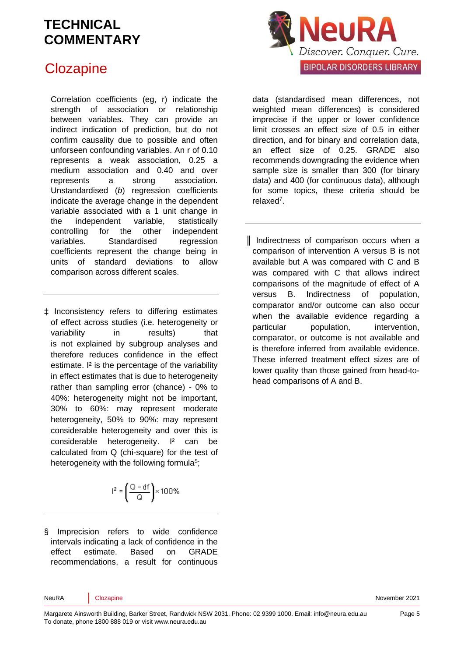## **Clozapine**

Correlation coefficients (eg, r) indicate the strength of association or relationship between variables. They can provide an indirect indication of prediction, but do not confirm causality due to possible and often unforseen confounding variables. An r of 0.10 represents a weak association, 0.25 a medium association and 0.40 and over represents a strong association. Unstandardised (*b*) regression coefficients indicate the average change in the dependent variable associated with a 1 unit change in the independent variable, statistically controlling for the other independent variables. Standardised regression coefficients represent the change being in units of standard deviations to allow comparison across different scales.

‡ Inconsistency refers to differing estimates of effect across studies (i.e. heterogeneity or variability in results) that is not explained by subgroup analyses and therefore reduces confidence in the effect estimate. I² is the percentage of the variability in effect estimates that is due to heterogeneity rather than sampling error (chance) - 0% to 40%: heterogeneity might not be important, 30% to 60%: may represent moderate heterogeneity, 50% to 90%: may represent considerable heterogeneity and over this is considerable heterogeneity. I² can be calculated from Q (chi-square) for the test of heterogeneity with the following formul[a](#page-5-4)<sup>5</sup>;

$$
I^2 = \left(\frac{Q - df}{Q}\right) \times 100\%
$$

§ Imprecision refers to wide confidence intervals indicating a lack of confidence in the effect estimate. Based on GRADE recommendations, a result for continuous



data (standardised mean differences, not weighted mean differences) is considered imprecise if the upper or lower confidence limit crosses an effect size of 0.5 in either direction, and for binary and correlation data, an effect size of 0.25. GRADE also recommends downgrading the evidence when sample size is smaller than 300 (for binary data) and 400 (for continuous data), although for some topics, these criteria should be relaxe[d](#page-5-6)<sup>7</sup> .

║ Indirectness of comparison occurs when a comparison of intervention A versus B is not available but A was compared with C and B was compared with C that allows indirect comparisons of the magnitude of effect of A versus B. Indirectness of population, comparator and/or outcome can also occur when the available evidence regarding a particular population, intervention, comparator, or outcome is not available and is therefore inferred from available evidence. These inferred treatment effect sizes are of lower quality than those gained from head-tohead comparisons of A and B.

NeuRA Clozapine **November 2021** Clozapine